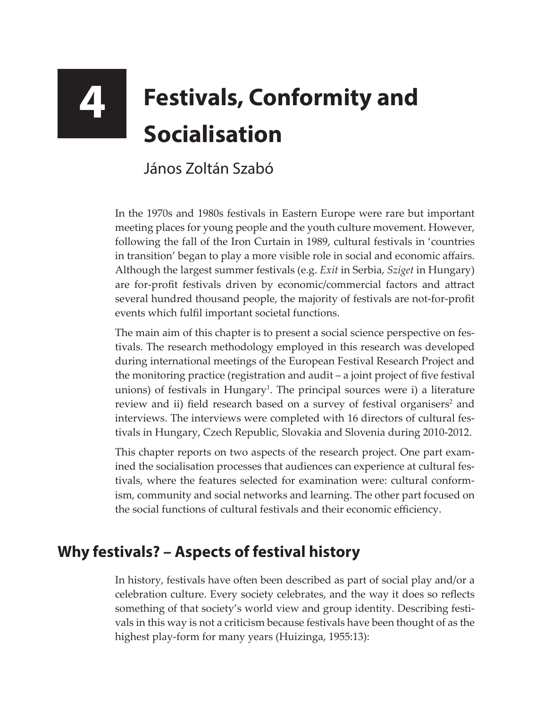## **4 Festivals, Conformity and Socialisation**

## János Zoltán Szabó

In the 1970s and 1980s festivals in Eastern Europe were rare but important meeting places for young people and the youth culture movement. However, following the fall of the Iron Curtain in 1989, cultural festivals in 'countries in transition' began to play a more visible role in social and economic affairs. Although the largest summer festivals (e.g. *Exit* in Serbia, *Sziget* in Hungary) are for-profit festivals driven by economic/commercial factors and attract several hundred thousand people, the majority of festivals are not-for-profit events which fulfil important societal functions.

The main aim of this chapter is to present a social science perspective on festivals. The research methodology employed in this research was developed during international meetings of the European Festival Research Project and the monitoring practice (registration and audit – a joint project of five festival unions) of festivals in Hungary<sup>1</sup>. The principal sources were i) a literature review and ii) field research based on a survey of festival organisers<sup>2</sup> and interviews. The interviews were completed with 16 directors of cultural festivals in Hungary, Czech Republic, Slovakia and Slovenia during 2010-2012.

This chapter reports on two aspects of the research project. One part examined the socialisation processes that audiences can experience at cultural festivals, where the features selected for examination were: cultural conformism, community and social networks and learning. The other part focused on the social functions of cultural festivals and their economic efficiency.

## **Why festivals? – Aspects of festival history**

In history, festivals have often been described as part of social play and/or a celebration culture. Every society celebrates, and the way it does so reflects something of that society's world view and group identity. Describing festivals in this way is not a criticism because festivals have been thought of as the highest play-form for many years (Huizinga, 1955:13):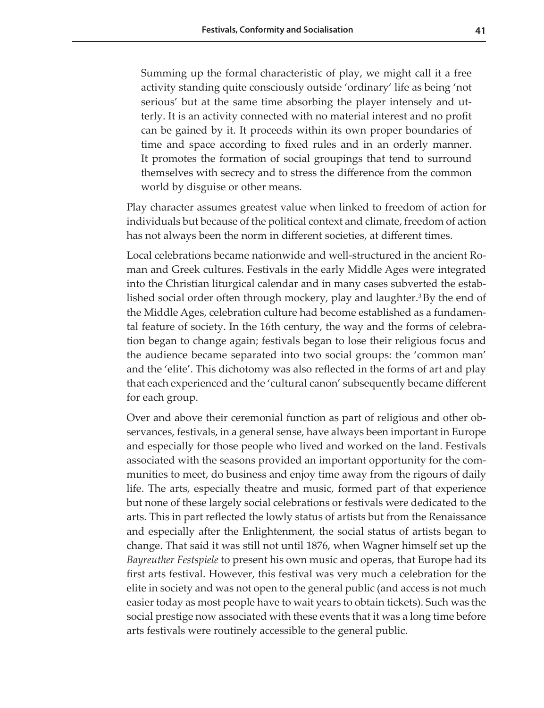Summing up the formal characteristic of play, we might call it a free activity standing quite consciously outside 'ordinary' life as being 'not serious' but at the same time absorbing the player intensely and utterly. It is an activity connected with no material interest and no profit can be gained by it. It proceeds within its own proper boundaries of time and space according to fixed rules and in an orderly manner. It promotes the formation of social groupings that tend to surround themselves with secrecy and to stress the difference from the common world by disguise or other means.

Play character assumes greatest value when linked to freedom of action for individuals but because of the political context and climate, freedom of action has not always been the norm in different societies, at different times.

Local celebrations became nationwide and well-structured in the ancient Roman and Greek cultures. Festivals in the early Middle Ages were integrated into the Christian liturgical calendar and in many cases subverted the established social order often through mockery, play and laughter.<sup>3</sup> By the end of the Middle Ages, celebration culture had become established as a fundamental feature of society. In the 16th century, the way and the forms of celebration began to change again; festivals began to lose their religious focus and the audience became separated into two social groups: the 'common man' and the 'elite'. This dichotomy was also reflected in the forms of art and play that each experienced and the 'cultural canon' subsequently became different for each group.

Over and above their ceremonial function as part of religious and other observances, festivals, in a general sense, have always been important in Europe and especially for those people who lived and worked on the land. Festivals associated with the seasons provided an important opportunity for the communities to meet, do business and enjoy time away from the rigours of daily life. The arts, especially theatre and music, formed part of that experience but none of these largely social celebrations or festivals were dedicated to the arts. This in part reflected the lowly status of artists but from the Renaissance and especially after the Enlightenment, the social status of artists began to change. That said it was still not until 1876, when Wagner himself set up the *Bayreuther Festspiele* to present his own music and operas, that Europe had its first arts festival. However, this festival was very much a celebration for the elite in society and was not open to the general public (and access is not much easier today as most people have to wait years to obtain tickets). Such was the social prestige now associated with these events that it was a long time before arts festivals were routinely accessible to the general public.